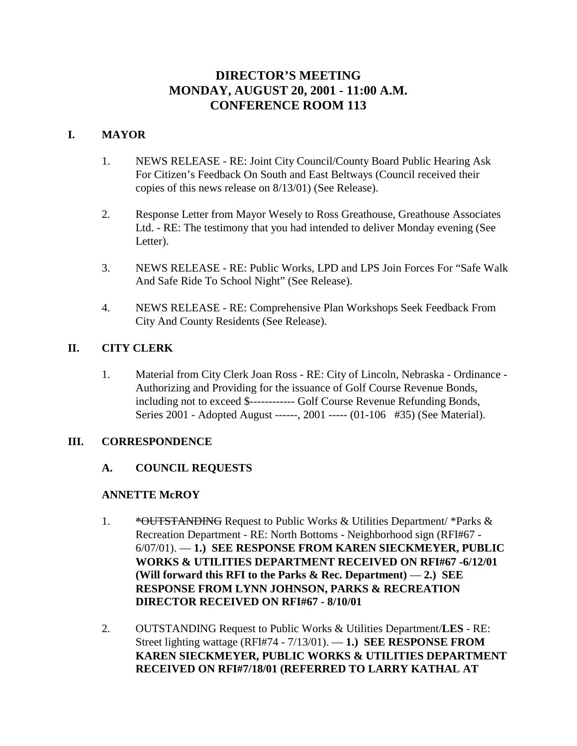# **DIRECTOR'S MEETING MONDAY, AUGUST 20, 2001 - 11:00 A.M. CONFERENCE ROOM 113**

## **I. MAYOR**

- 1. NEWS RELEASE RE: Joint City Council/County Board Public Hearing Ask For Citizen's Feedback On South and East Beltways (Council received their copies of this news release on 8/13/01) (See Release).
- 2. Response Letter from Mayor Wesely to Ross Greathouse, Greathouse Associates Ltd. - RE: The testimony that you had intended to deliver Monday evening (See Letter).
- 3. NEWS RELEASE RE: Public Works, LPD and LPS Join Forces For "Safe Walk And Safe Ride To School Night" (See Release).
- 4. NEWS RELEASE RE: Comprehensive Plan Workshops Seek Feedback From City And County Residents (See Release).

# **II. CITY CLERK**

1. Material from City Clerk Joan Ross - RE: City of Lincoln, Nebraska - Ordinance - Authorizing and Providing for the issuance of Golf Course Revenue Bonds, including not to exceed \$------------ Golf Course Revenue Refunding Bonds, Series 2001 - Adopted August ------, 2001 ----- (01-106 #35) (See Material).

## **III. CORRESPONDENCE**

## **A. COUNCIL REQUESTS**

## **ANNETTE McROY**

- 1. \* **\*OUTSTANDING** Request to Public Works & Utilities Department/ \* Parks & Recreation Department - RE: North Bottoms - Neighborhood sign (RFI#67 - 6/07/01). — **1.) SEE RESPONSE FROM KAREN SIECKMEYER, PUBLIC WORKS & UTILITIES DEPARTMENT RECEIVED ON RFI#67 -6/12/01 (Will forward this RFI to the Parks & Rec. Department)** — **2.) SEE RESPONSE FROM LYNN JOHNSON, PARKS & RECREATION DIRECTOR RECEIVED ON RFI#67 - 8/10/01**
- 2. OUTSTANDING Request to Public Works & Utilities Department/**LES** RE: Street lighting wattage (RFI#74 - 7/13/01). — **1.) SEE RESPONSE FROM KAREN SIECKMEYER, PUBLIC WORKS & UTILITIES DEPARTMENT RECEIVED ON RFI#7/18/01 (REFERRED TO LARRY KATHAL AT**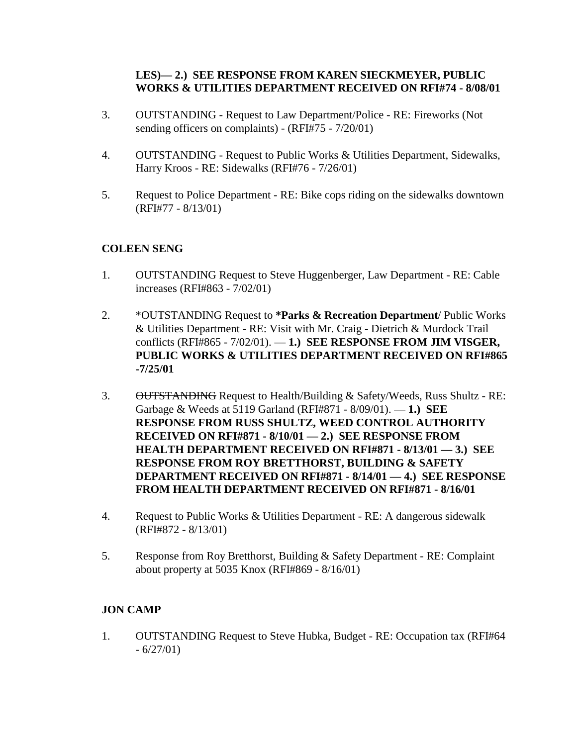## **LES)— 2.) SEE RESPONSE FROM KAREN SIECKMEYER, PUBLIC WORKS & UTILITIES DEPARTMENT RECEIVED ON RFI#74 - 8/08/01**

- 3. OUTSTANDING Request to Law Department/Police RE: Fireworks (Not sending officers on complaints) - (RFI#75 - 7/20/01)
- 4. OUTSTANDING Request to Public Works & Utilities Department, Sidewalks, Harry Kroos - RE: Sidewalks (RFI#76 - 7/26/01)
- 5. Request to Police Department RE: Bike cops riding on the sidewalks downtown (RFI#77 - 8/13/01)

# **COLEEN SENG**

- 1. OUTSTANDING Request to Steve Huggenberger, Law Department RE: Cable increases (RFI#863 - 7/02/01)
- 2. \*OUTSTANDING Request to **\*Parks & Recreation Department**/ Public Works & Utilities Department - RE: Visit with Mr. Craig - Dietrich & Murdock Trail conflicts (RFI#865 - 7/02/01). — **1.) SEE RESPONSE FROM JIM VISGER, PUBLIC WORKS & UTILITIES DEPARTMENT RECEIVED ON RFI#865 -7/25/01**
- 3. OUTSTANDING Request to Health/Building & Safety/Weeds, Russ Shultz RE: Garbage & Weeds at 5119 Garland (RFI#871 - 8/09/01). — **1.) SEE RESPONSE FROM RUSS SHULTZ, WEED CONTROL AUTHORITY RECEIVED ON RFI#871 - 8/10/01 — 2.) SEE RESPONSE FROM HEALTH DEPARTMENT RECEIVED ON RFI#871 - 8/13/01 — 3.) SEE RESPONSE FROM ROY BRETTHORST, BUILDING & SAFETY DEPARTMENT RECEIVED ON RFI#871 - 8/14/01 — 4.) SEE RESPONSE FROM HEALTH DEPARTMENT RECEIVED ON RFI#871 - 8/16/01**
- 4. Request to Public Works & Utilities Department RE: A dangerous sidewalk (RFI#872 - 8/13/01)
- 5. Response from Roy Bretthorst, Building & Safety Department RE: Complaint about property at 5035 Knox (RFI#869 - 8/16/01)

## **JON CAMP**

1. OUTSTANDING Request to Steve Hubka, Budget - RE: Occupation tax (RFI#64  $-6/27/01$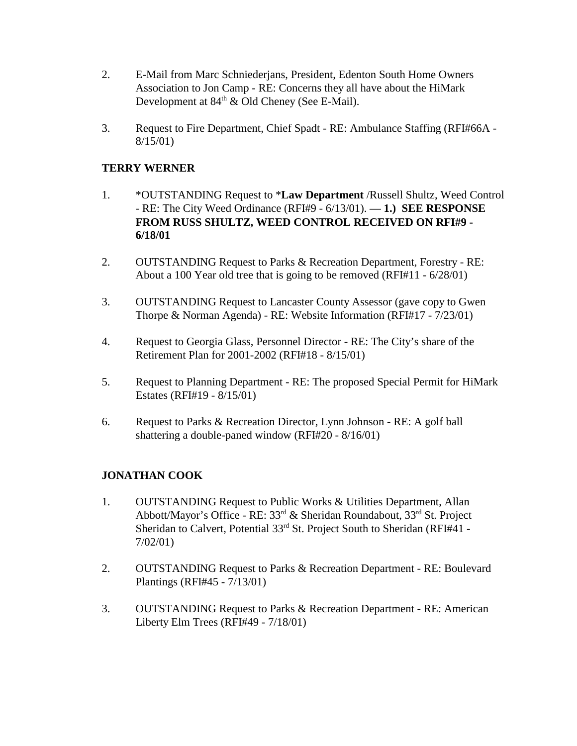- 2. E-Mail from Marc Schniederjans, President, Edenton South Home Owners Association to Jon Camp - RE: Concerns they all have about the HiMark Development at  $84<sup>th</sup>$  & Old Cheney (See E-Mail).
- 3. Request to Fire Department, Chief Spadt RE: Ambulance Staffing (RFI#66A 8/15/01)

## **TERRY WERNER**

- 1. \*OUTSTANDING Request to \***Law Department** /Russell Shultz, Weed Control - RE: The City Weed Ordinance (RFI#9 - 6/13/01). **— 1.) SEE RESPONSE FROM RUSS SHULTZ, WEED CONTROL RECEIVED ON RFI#9 - 6/18/01**
- 2. OUTSTANDING Request to Parks & Recreation Department, Forestry RE: About a 100 Year old tree that is going to be removed (RFI#11 - 6/28/01)
- 3. OUTSTANDING Request to Lancaster County Assessor (gave copy to Gwen Thorpe & Norman Agenda) - RE: Website Information (RFI#17 - 7/23/01)
- 4. Request to Georgia Glass, Personnel Director RE: The City's share of the Retirement Plan for 2001-2002 (RFI#18 - 8/15/01)
- 5. Request to Planning Department RE: The proposed Special Permit for HiMark Estates (RFI#19 - 8/15/01)
- 6. Request to Parks & Recreation Director, Lynn Johnson RE: A golf ball shattering a double-paned window (RFI#20 - 8/16/01)

## **JONATHAN COOK**

- 1. OUTSTANDING Request to Public Works & Utilities Department, Allan Abbott/Mayor's Office - RE: 33rd & Sheridan Roundabout, 33rd St. Project Sheridan to Calvert, Potential 33<sup>rd</sup> St. Project South to Sheridan (RFI#41 -7/02/01)
- 2. OUTSTANDING Request to Parks & Recreation Department RE: Boulevard Plantings (RFI#45 - 7/13/01)
- 3. OUTSTANDING Request to Parks & Recreation Department RE: American Liberty Elm Trees (RFI#49 - 7/18/01)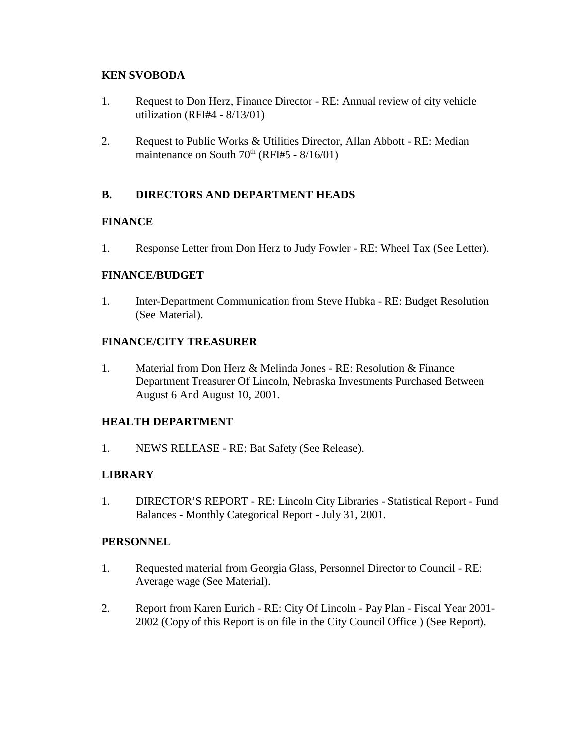## **KEN SVOBODA**

- 1. Request to Don Herz, Finance Director RE: Annual review of city vehicle utilization (RFI#4 - 8/13/01)
- 2. Request to Public Works & Utilities Director, Allan Abbott RE: Median maintenance on South  $70<sup>th</sup>$  (RFI#5 - 8/16/01)

## **B. DIRECTORS AND DEPARTMENT HEADS**

## **FINANCE**

1. Response Letter from Don Herz to Judy Fowler - RE: Wheel Tax (See Letter).

## **FINANCE/BUDGET**

1. Inter-Department Communication from Steve Hubka - RE: Budget Resolution (See Material).

## **FINANCE/CITY TREASURER**

1. Material from Don Herz & Melinda Jones - RE: Resolution & Finance Department Treasurer Of Lincoln, Nebraska Investments Purchased Between August 6 And August 10, 2001.

## **HEALTH DEPARTMENT**

1. NEWS RELEASE - RE: Bat Safety (See Release).

## **LIBRARY**

1. DIRECTOR'S REPORT - RE: Lincoln City Libraries - Statistical Report - Fund Balances - Monthly Categorical Report - July 31, 2001.

## **PERSONNEL**

- 1. Requested material from Georgia Glass, Personnel Director to Council RE: Average wage (See Material).
- 2. Report from Karen Eurich RE: City Of Lincoln Pay Plan Fiscal Year 2001- 2002 (Copy of this Report is on file in the City Council Office ) (See Report).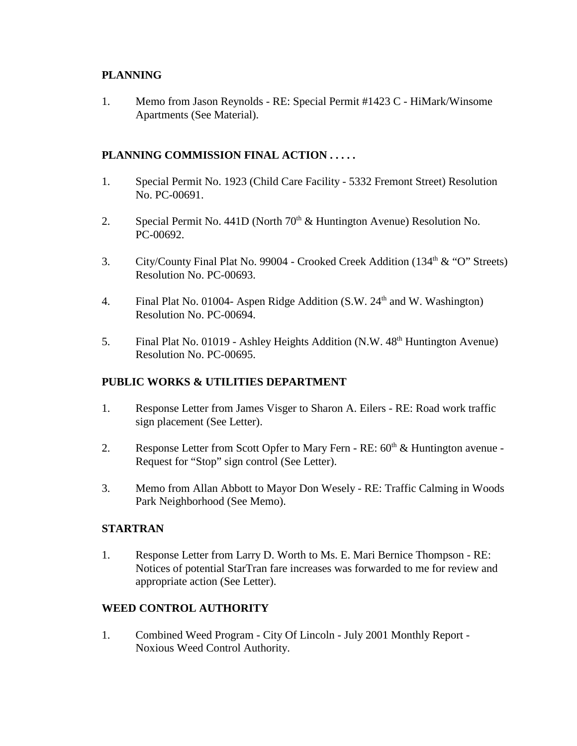## **PLANNING**

1. Memo from Jason Reynolds - RE: Special Permit #1423 C - HiMark/Winsome Apartments (See Material).

## **PLANNING COMMISSION FINAL ACTION . . . . .**

- 1. Special Permit No. 1923 (Child Care Facility 5332 Fremont Street) Resolution No. PC-00691.
- 2. Special Permit No. 441D (North 70<sup>th</sup> & Huntington Avenue) Resolution No. PC-00692.
- 3. City/County Final Plat No. 99004 Crooked Creek Addition (134<sup>th</sup> & "O" Streets) Resolution No. PC-00693.
- 4. Final Plat No. 01004- Aspen Ridge Addition  $(S.W. 24<sup>th</sup>$  and W. Washington) Resolution No. PC-00694.
- 5. Final Plat No. 01019 Ashley Heights Addition (N.W. 48<sup>th</sup> Huntington Avenue) Resolution No. PC-00695.

## **PUBLIC WORKS & UTILITIES DEPARTMENT**

- 1. Response Letter from James Visger to Sharon A. Eilers RE: Road work traffic sign placement (See Letter).
- 2. Response Letter from Scott Opfer to Mary Fern RE:  $60<sup>th</sup>$  & Huntington avenue -Request for "Stop" sign control (See Letter).
- 3. Memo from Allan Abbott to Mayor Don Wesely RE: Traffic Calming in Woods Park Neighborhood (See Memo).

## **STARTRAN**

1. Response Letter from Larry D. Worth to Ms. E. Mari Bernice Thompson - RE: Notices of potential StarTran fare increases was forwarded to me for review and appropriate action (See Letter).

# **WEED CONTROL AUTHORITY**

1. Combined Weed Program - City Of Lincoln - July 2001 Monthly Report - Noxious Weed Control Authority.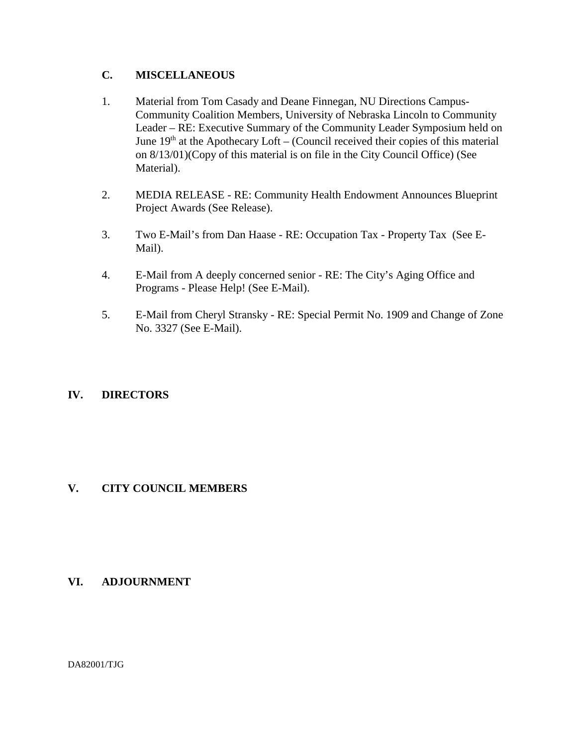## **C. MISCELLANEOUS**

- 1. Material from Tom Casady and Deane Finnegan, NU Directions Campus-Community Coalition Members, University of Nebraska Lincoln to Community Leader – RE: Executive Summary of the Community Leader Symposium held on June  $19<sup>th</sup>$  at the Apothecary Loft – (Council received their copies of this material on 8/13/01)(Copy of this material is on file in the City Council Office) (See Material).
- 2. MEDIA RELEASE RE: Community Health Endowment Announces Blueprint Project Awards (See Release).
- 3. Two E-Mail's from Dan Haase RE: Occupation Tax Property Tax (See E-Mail).
- 4. E-Mail from A deeply concerned senior RE: The City's Aging Office and Programs - Please Help! (See E-Mail).
- 5. E-Mail from Cheryl Stransky RE: Special Permit No. 1909 and Change of Zone No. 3327 (See E-Mail).

## **IV. DIRECTORS**

## **V. CITY COUNCIL MEMBERS**

## **VI. ADJOURNMENT**

DA82001/TJG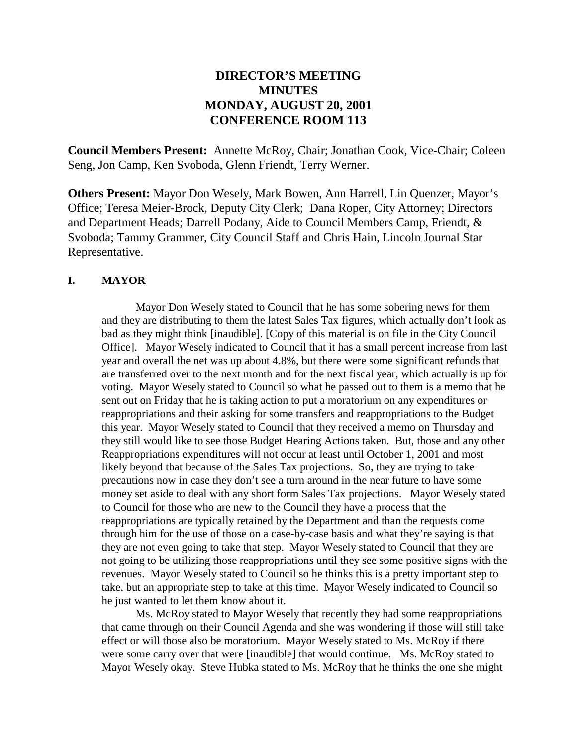# **DIRECTOR'S MEETING MINUTES MONDAY, AUGUST 20, 2001 CONFERENCE ROOM 113**

**Council Members Present:** Annette McRoy, Chair; Jonathan Cook, Vice-Chair; Coleen Seng, Jon Camp, Ken Svoboda, Glenn Friendt, Terry Werner.

**Others Present:** Mayor Don Wesely, Mark Bowen, Ann Harrell, Lin Quenzer, Mayor's Office; Teresa Meier-Brock, Deputy City Clerk; Dana Roper, City Attorney; Directors and Department Heads; Darrell Podany, Aide to Council Members Camp, Friendt, & Svoboda; Tammy Grammer, City Council Staff and Chris Hain, Lincoln Journal Star Representative.

#### **I. MAYOR**

Mayor Don Wesely stated to Council that he has some sobering news for them and they are distributing to them the latest Sales Tax figures, which actually don't look as bad as they might think [inaudible]. [Copy of this material is on file in the City Council Office]. Mayor Wesely indicated to Council that it has a small percent increase from last year and overall the net was up about 4.8%, but there were some significant refunds that are transferred over to the next month and for the next fiscal year, which actually is up for voting. Mayor Wesely stated to Council so what he passed out to them is a memo that he sent out on Friday that he is taking action to put a moratorium on any expenditures or reappropriations and their asking for some transfers and reappropriations to the Budget this year. Mayor Wesely stated to Council that they received a memo on Thursday and they still would like to see those Budget Hearing Actions taken. But, those and any other Reappropriations expenditures will not occur at least until October 1, 2001 and most likely beyond that because of the Sales Tax projections. So, they are trying to take precautions now in case they don't see a turn around in the near future to have some money set aside to deal with any short form Sales Tax projections. Mayor Wesely stated to Council for those who are new to the Council they have a process that the reappropriations are typically retained by the Department and than the requests come through him for the use of those on a case-by-case basis and what they're saying is that they are not even going to take that step. Mayor Wesely stated to Council that they are not going to be utilizing those reappropriations until they see some positive signs with the revenues. Mayor Wesely stated to Council so he thinks this is a pretty important step to take, but an appropriate step to take at this time. Mayor Wesely indicated to Council so he just wanted to let them know about it.

Ms. McRoy stated to Mayor Wesely that recently they had some reappropriations that came through on their Council Agenda and she was wondering if those will still take effect or will those also be moratorium. Mayor Wesely stated to Ms. McRoy if there were some carry over that were [inaudible] that would continue. Ms. McRoy stated to Mayor Wesely okay. Steve Hubka stated to Ms. McRoy that he thinks the one she might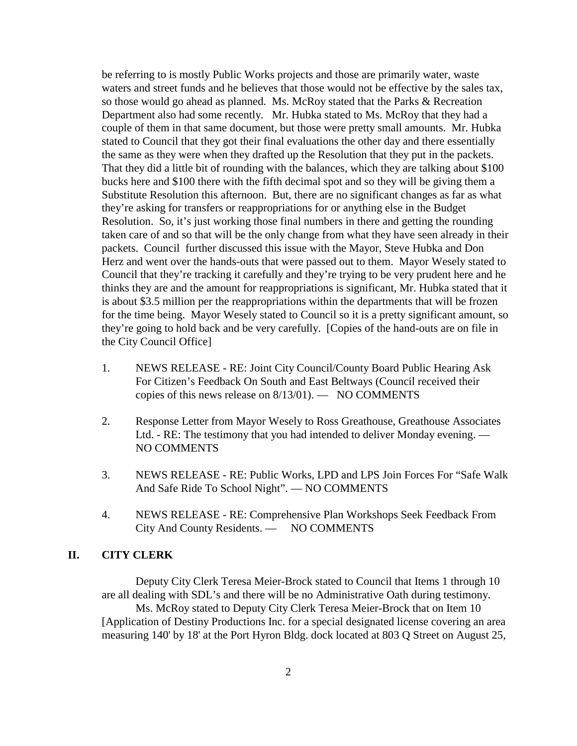be referring to is mostly Public Works projects and those are primarily water, waste waters and street funds and he believes that those would not be effective by the sales tax, so those would go ahead as planned. Ms. McRoy stated that the Parks & Recreation Department also had some recently. Mr. Hubka stated to Ms. McRoy that they had a couple of them in that same document, but those were pretty small amounts. Mr. Hubka stated to Council that they got their final evaluations the other day and there essentially the same as they were when they drafted up the Resolution that they put in the packets. That they did a little bit of rounding with the balances, which they are talking about \$100 bucks here and \$100 there with the fifth decimal spot and so they will be giving them a Substitute Resolution this afternoon. But, there are no significant changes as far as what they're asking for transfers or reappropriations for or anything else in the Budget Resolution. So, it's just working those final numbers in there and getting the rounding taken care of and so that will be the only change from what they have seen already in their packets. Council further discussed this issue with the Mayor, Steve Hubka and Don Herz and went over the hands-outs that were passed out to them. Mayor Wesely stated to Council that they're tracking it carefully and they're trying to be very prudent here and he thinks they are and the amount for reappropriations is significant, Mr. Hubka stated that it is about \$3.5 million per the reappropriations within the departments that will be frozen for the time being. Mayor Wesely stated to Council so it is a pretty significant amount, so they're going to hold back and be very carefully. [Copies of the hand-outs are on file in the City Council Office]

- 1. NEWS RELEASE RE: Joint City Council/County Board Public Hearing Ask For Citizen's Feedback On South and East Beltways (Council received their copies of this news release on 8/13/01). — NO COMMENTS
- 2. Response Letter from Mayor Wesely to Ross Greathouse, Greathouse Associates Ltd. - RE: The testimony that you had intended to deliver Monday evening. — NO COMMENTS
- 3. NEWS RELEASE RE: Public Works, LPD and LPS Join Forces For "Safe Walk And Safe Ride To School Night". — NO COMMENTS
- 4. NEWS RELEASE RE: Comprehensive Plan Workshops Seek Feedback From City And County Residents. — NO COMMENTS

#### **II. CITY CLERK**

Deputy City Clerk Teresa Meier-Brock stated to Council that Items 1 through 10 are all dealing with SDL's and there will be no Administrative Oath during testimony.

Ms. McRoy stated to Deputy City Clerk Teresa Meier-Brock that on Item 10 [Application of Destiny Productions Inc. for a special designated license covering an area measuring 140' by 18' at the Port Hyron Bldg. dock located at 803 Q Street on August 25,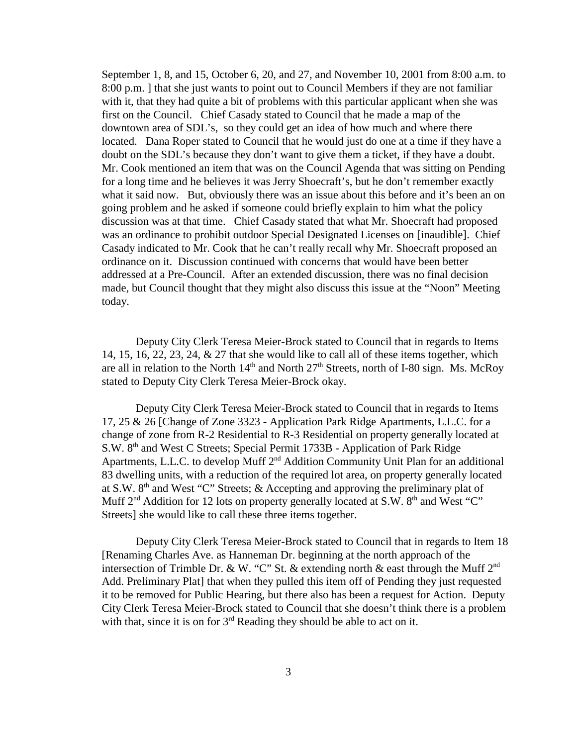September 1, 8, and 15, October 6, 20, and 27, and November 10, 2001 from 8:00 a.m. to 8:00 p.m. ] that she just wants to point out to Council Members if they are not familiar with it, that they had quite a bit of problems with this particular applicant when she was first on the Council. Chief Casady stated to Council that he made a map of the downtown area of SDL's, so they could get an idea of how much and where there located. Dana Roper stated to Council that he would just do one at a time if they have a doubt on the SDL's because they don't want to give them a ticket, if they have a doubt. Mr. Cook mentioned an item that was on the Council Agenda that was sitting on Pending for a long time and he believes it was Jerry Shoecraft's, but he don't remember exactly what it said now. But, obviously there was an issue about this before and it's been an on going problem and he asked if someone could briefly explain to him what the policy discussion was at that time. Chief Casady stated that what Mr. Shoecraft had proposed was an ordinance to prohibit outdoor Special Designated Licenses on [inaudible]. Chief Casady indicated to Mr. Cook that he can't really recall why Mr. Shoecraft proposed an ordinance on it. Discussion continued with concerns that would have been better addressed at a Pre-Council. After an extended discussion, there was no final decision made, but Council thought that they might also discuss this issue at the "Noon" Meeting today.

Deputy City Clerk Teresa Meier-Brock stated to Council that in regards to Items 14, 15, 16, 22, 23, 24, & 27 that she would like to call all of these items together, which are all in relation to the North  $14<sup>th</sup>$  and North  $27<sup>th</sup>$  Streets, north of I-80 sign. Ms. McRoy stated to Deputy City Clerk Teresa Meier-Brock okay.

Deputy City Clerk Teresa Meier-Brock stated to Council that in regards to Items 17, 25 & 26 [Change of Zone 3323 - Application Park Ridge Apartments, L.L.C. for a change of zone from R-2 Residential to R-3 Residential on property generally located at S.W. 8th and West C Streets; Special Permit 1733B - Application of Park Ridge Apartments, L.L.C. to develop Muff 2<sup>nd</sup> Addition Community Unit Plan for an additional 83 dwelling units, with a reduction of the required lot area, on property generally located at S.W.  $8<sup>th</sup>$  and West "C" Streets; & Accepting and approving the preliminary plat of Muff  $2<sup>nd</sup>$  Addition for 12 lots on property generally located at S.W.  $8<sup>th</sup>$  and West "C" Streets] she would like to call these three items together.

Deputy City Clerk Teresa Meier-Brock stated to Council that in regards to Item 18 [Renaming Charles Ave. as Hanneman Dr. beginning at the north approach of the intersection of Trimble Dr. & W. "C" St. & extending north & east through the Muff  $2<sup>nd</sup>$ Add. Preliminary Plat] that when they pulled this item off of Pending they just requested it to be removed for Public Hearing, but there also has been a request for Action. Deputy City Clerk Teresa Meier-Brock stated to Council that she doesn't think there is a problem with that, since it is on for 3<sup>rd</sup> Reading they should be able to act on it.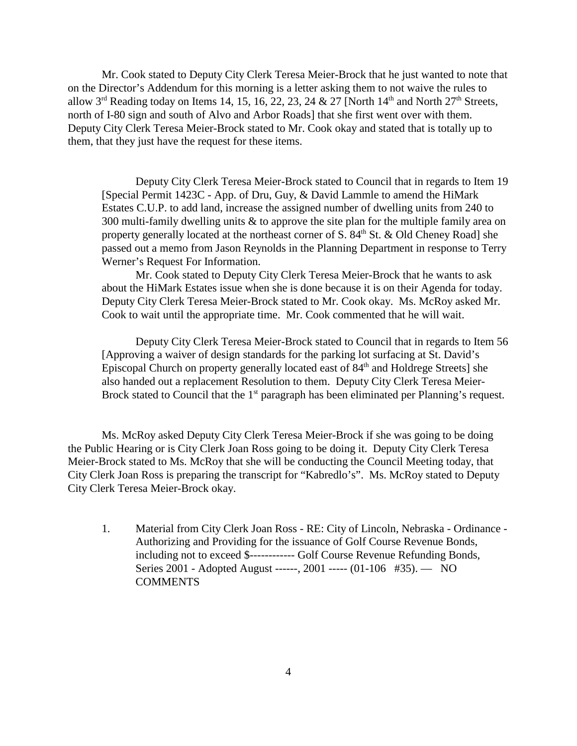Mr. Cook stated to Deputy City Clerk Teresa Meier-Brock that he just wanted to note that on the Director's Addendum for this morning is a letter asking them to not waive the rules to allow  $3^{rd}$  Reading today on Items 14, 15, 16, 22, 23, 24 & 27 [North  $14^{th}$  and North  $27^{th}$  Streets, north of I-80 sign and south of Alvo and Arbor Roads] that she first went over with them. Deputy City Clerk Teresa Meier-Brock stated to Mr. Cook okay and stated that is totally up to them, that they just have the request for these items.

Deputy City Clerk Teresa Meier-Brock stated to Council that in regards to Item 19 [Special Permit 1423C - App. of Dru, Guy, & David Lammle to amend the HiMark Estates C.U.P. to add land, increase the assigned number of dwelling units from 240 to 300 multi-family dwelling units & to approve the site plan for the multiple family area on property generally located at the northeast corner of  $S$ .  $84<sup>th</sup>$  St. & Old Cheney Road] she passed out a memo from Jason Reynolds in the Planning Department in response to Terry Werner's Request For Information.

Mr. Cook stated to Deputy City Clerk Teresa Meier-Brock that he wants to ask about the HiMark Estates issue when she is done because it is on their Agenda for today. Deputy City Clerk Teresa Meier-Brock stated to Mr. Cook okay. Ms. McRoy asked Mr. Cook to wait until the appropriate time. Mr. Cook commented that he will wait.

Deputy City Clerk Teresa Meier-Brock stated to Council that in regards to Item 56 [Approving a waiver of design standards for the parking lot surfacing at St. David's Episcopal Church on property generally located east of  $84<sup>th</sup>$  and Holdrege Streets] she also handed out a replacement Resolution to them. Deputy City Clerk Teresa Meier-Brock stated to Council that the  $1<sup>st</sup>$  paragraph has been eliminated per Planning's request.

Ms. McRoy asked Deputy City Clerk Teresa Meier-Brock if she was going to be doing the Public Hearing or is City Clerk Joan Ross going to be doing it. Deputy City Clerk Teresa Meier-Brock stated to Ms. McRoy that she will be conducting the Council Meeting today, that City Clerk Joan Ross is preparing the transcript for "Kabredlo's". Ms. McRoy stated to Deputy City Clerk Teresa Meier-Brock okay.

1. Material from City Clerk Joan Ross - RE: City of Lincoln, Nebraska - Ordinance - Authorizing and Providing for the issuance of Golf Course Revenue Bonds, including not to exceed \$------------ Golf Course Revenue Refunding Bonds, Series 2001 - Adopted August ------, 2001 ----- (01-106 #35). — NO **COMMENTS**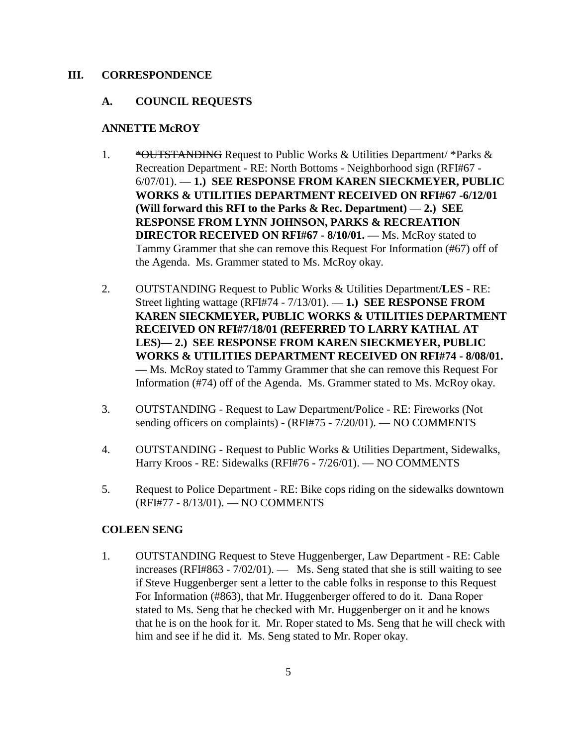#### **III. CORRESPONDENCE**

#### **A. COUNCIL REQUESTS**

#### **ANNETTE McROY**

- 1. \* \* **\* OUTSTANDING** Request to Public Works & Utilities Department/ \* Parks & Recreation Department - RE: North Bottoms - Neighborhood sign (RFI#67 - 6/07/01). — **1.) SEE RESPONSE FROM KAREN SIECKMEYER, PUBLIC WORKS & UTILITIES DEPARTMENT RECEIVED ON RFI#67 -6/12/01 (Will forward this RFI to the Parks & Rec. Department)** — **2.) SEE RESPONSE FROM LYNN JOHNSON, PARKS & RECREATION DIRECTOR RECEIVED ON RFI#67 - 8/10/01. —** Ms. McRoy stated to Tammy Grammer that she can remove this Request For Information (#67) off of the Agenda. Ms. Grammer stated to Ms. McRoy okay.
- 2. OUTSTANDING Request to Public Works & Utilities Department/**LES** RE: Street lighting wattage (RFI#74 - 7/13/01). — **1.) SEE RESPONSE FROM KAREN SIECKMEYER, PUBLIC WORKS & UTILITIES DEPARTMENT RECEIVED ON RFI#7/18/01 (REFERRED TO LARRY KATHAL AT LES)— 2.) SEE RESPONSE FROM KAREN SIECKMEYER, PUBLIC WORKS & UTILITIES DEPARTMENT RECEIVED ON RFI#74 - 8/08/01. —** Ms. McRoy stated to Tammy Grammer that she can remove this Request For Information (#74) off of the Agenda. Ms. Grammer stated to Ms. McRoy okay.
- 3. OUTSTANDING Request to Law Department/Police RE: Fireworks (Not sending officers on complaints) - (RFI#75 - 7/20/01). — NO COMMENTS
- 4. OUTSTANDING Request to Public Works & Utilities Department, Sidewalks, Harry Kroos - RE: Sidewalks (RFI#76 - 7/26/01). — NO COMMENTS
- 5. Request to Police Department RE: Bike cops riding on the sidewalks downtown (RFI#77 - 8/13/01). — NO COMMENTS

#### **COLEEN SENG**

1. OUTSTANDING Request to Steve Huggenberger, Law Department - RE: Cable increases (RFI#863 - 7/02/01). — Ms. Seng stated that she is still waiting to see if Steve Huggenberger sent a letter to the cable folks in response to this Request For Information (#863), that Mr. Huggenberger offered to do it. Dana Roper stated to Ms. Seng that he checked with Mr. Huggenberger on it and he knows that he is on the hook for it. Mr. Roper stated to Ms. Seng that he will check with him and see if he did it. Ms. Seng stated to Mr. Roper okay.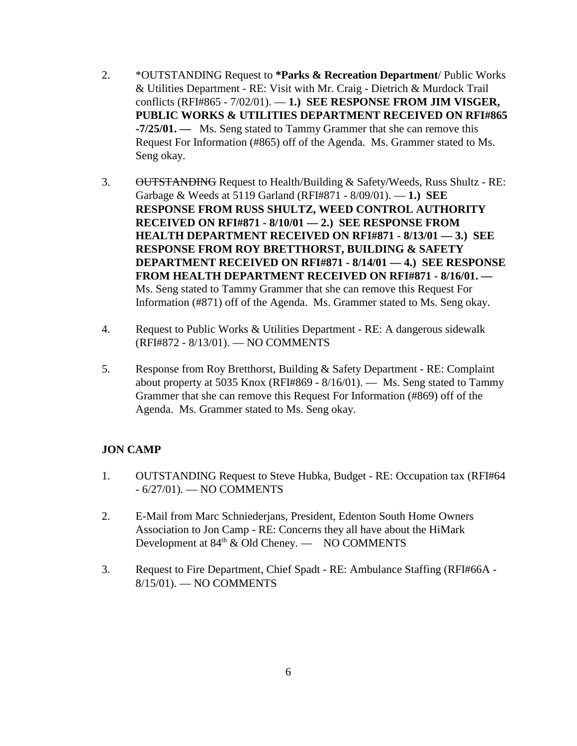- 2. \*OUTSTANDING Request to **\*Parks & Recreation Department**/ Public Works & Utilities Department - RE: Visit with Mr. Craig - Dietrich & Murdock Trail conflicts (RFI#865 - 7/02/01). — **1.) SEE RESPONSE FROM JIM VISGER, PUBLIC WORKS & UTILITIES DEPARTMENT RECEIVED ON RFI#865 -7/25/01. —** Ms. Seng stated to Tammy Grammer that she can remove this Request For Information (#865) off of the Agenda. Ms. Grammer stated to Ms. Seng okay.
- 3. OUTSTANDING Request to Health/Building & Safety/Weeds, Russ Shultz RE: Garbage & Weeds at 5119 Garland (RFI#871 - 8/09/01). — **1.) SEE RESPONSE FROM RUSS SHULTZ, WEED CONTROL AUTHORITY RECEIVED ON RFI#871 - 8/10/01 — 2.) SEE RESPONSE FROM HEALTH DEPARTMENT RECEIVED ON RFI#871 - 8/13/01 — 3.) SEE RESPONSE FROM ROY BRETTHORST, BUILDING & SAFETY DEPARTMENT RECEIVED ON RFI#871 - 8/14/01 — 4.) SEE RESPONSE FROM HEALTH DEPARTMENT RECEIVED ON RFI#871 - 8/16/01. —**  Ms. Seng stated to Tammy Grammer that she can remove this Request For Information (#871) off of the Agenda. Ms. Grammer stated to Ms. Seng okay.
- 4. Request to Public Works & Utilities Department RE: A dangerous sidewalk (RFI#872 - 8/13/01). — NO COMMENTS
- 5. Response from Roy Bretthorst, Building & Safety Department RE: Complaint about property at 5035 Knox (RFI#869 - 8/16/01). — Ms. Seng stated to Tammy Grammer that she can remove this Request For Information (#869) off of the Agenda. Ms. Grammer stated to Ms. Seng okay.

## **JON CAMP**

- 1. OUTSTANDING Request to Steve Hubka, Budget RE: Occupation tax (RFI#64 - 6/27/01). — NO COMMENTS
- 2. E-Mail from Marc Schniederjans, President, Edenton South Home Owners Association to Jon Camp - RE: Concerns they all have about the HiMark Development at  $84<sup>th</sup>$  & Old Cheney. — NO COMMENTS
- 3. Request to Fire Department, Chief Spadt RE: Ambulance Staffing (RFI#66A 8/15/01). — NO COMMENTS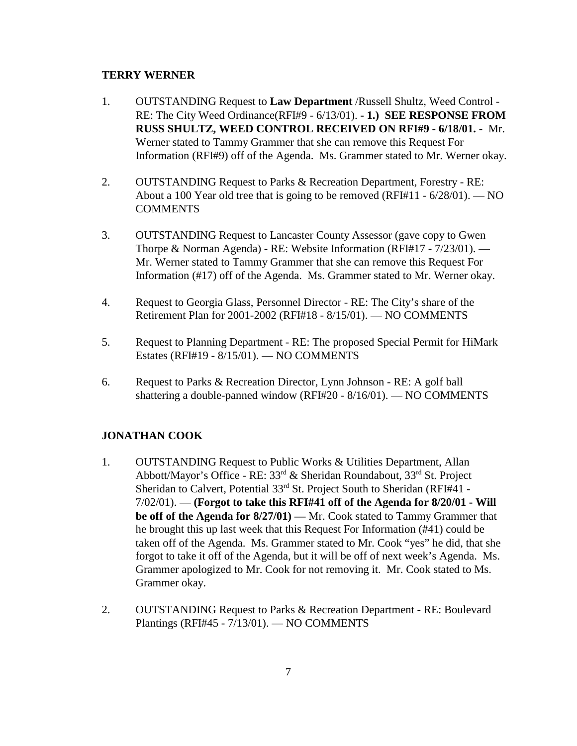#### **TERRY WERNER**

- 1. OUTSTANDING Request to **Law Department** /Russell Shultz, Weed Control RE: The City Weed Ordinance(RFI#9 - 6/13/01). **- 1.) SEE RESPONSE FROM RUSS SHULTZ, WEED CONTROL RECEIVED ON RFI#9 - 6/18/01. -** Mr. Werner stated to Tammy Grammer that she can remove this Request For Information (RFI#9) off of the Agenda. Ms. Grammer stated to Mr. Werner okay.
- 2. OUTSTANDING Request to Parks & Recreation Department, Forestry RE: About a 100 Year old tree that is going to be removed (RFI#11 -  $6/28/01$ ). — NO **COMMENTS**
- 3. OUTSTANDING Request to Lancaster County Assessor (gave copy to Gwen Thorpe & Norman Agenda) - RE: Website Information (RFI#17 - 7/23/01). — Mr. Werner stated to Tammy Grammer that she can remove this Request For Information (#17) off of the Agenda. Ms. Grammer stated to Mr. Werner okay.
- 4. Request to Georgia Glass, Personnel Director RE: The City's share of the Retirement Plan for 2001-2002 (RFI#18 - 8/15/01). — NO COMMENTS
- 5. Request to Planning Department RE: The proposed Special Permit for HiMark Estates (RFI#19 - 8/15/01). — NO COMMENTS
- 6. Request to Parks & Recreation Director, Lynn Johnson RE: A golf ball shattering a double-panned window (RFI#20 - 8/16/01). — NO COMMENTS

## **JONATHAN COOK**

- 1. OUTSTANDING Request to Public Works & Utilities Department, Allan Abbott/Mayor's Office - RE: 33rd & Sheridan Roundabout, 33rd St. Project Sheridan to Calvert, Potential 33<sup>rd</sup> St. Project South to Sheridan (RFI#41 -7/02/01). — **(Forgot to take this RFI#41 off of the Agenda for 8/20/01 - Will be off of the Agenda for 8/27/01) —** Mr. Cook stated to Tammy Grammer that he brought this up last week that this Request For Information (#41) could be taken off of the Agenda. Ms. Grammer stated to Mr. Cook "yes" he did, that she forgot to take it off of the Agenda, but it will be off of next week's Agenda. Ms. Grammer apologized to Mr. Cook for not removing it. Mr. Cook stated to Ms. Grammer okay.
- 2. OUTSTANDING Request to Parks & Recreation Department RE: Boulevard Plantings (RFI#45 - 7/13/01). — NO COMMENTS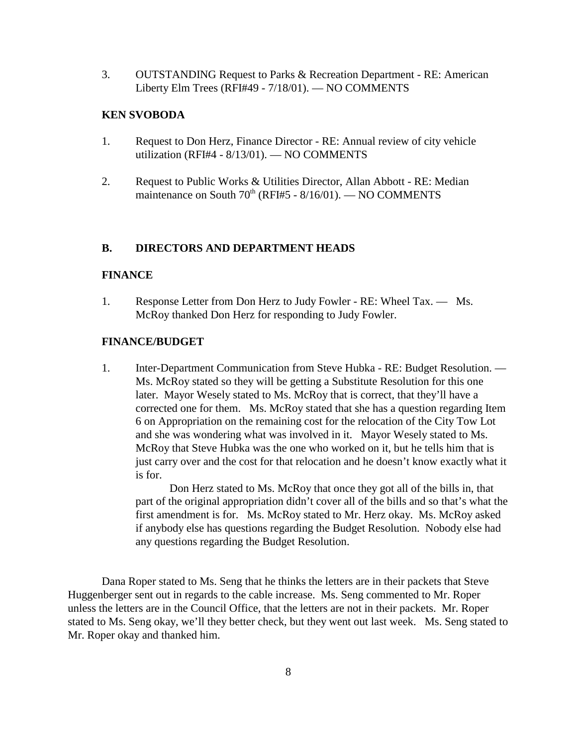3. OUTSTANDING Request to Parks & Recreation Department - RE: American Liberty Elm Trees (RFI#49 - 7/18/01). — NO COMMENTS

#### **KEN SVOBODA**

- 1. Request to Don Herz, Finance Director RE: Annual review of city vehicle utilization (RFI#4 - 8/13/01). — NO COMMENTS
- 2. Request to Public Works & Utilities Director, Allan Abbott RE: Median maintenance on South  $70<sup>th</sup>$  (RFI#5 - 8/16/01). — NO COMMENTS

#### **B. DIRECTORS AND DEPARTMENT HEADS**

#### **FINANCE**

1. Response Letter from Don Herz to Judy Fowler - RE: Wheel Tax. — Ms. McRoy thanked Don Herz for responding to Judy Fowler.

#### **FINANCE/BUDGET**

1. Inter-Department Communication from Steve Hubka - RE: Budget Resolution. — Ms. McRoy stated so they will be getting a Substitute Resolution for this one later. Mayor Wesely stated to Ms. McRoy that is correct, that they'll have a corrected one for them. Ms. McRoy stated that she has a question regarding Item 6 on Appropriation on the remaining cost for the relocation of the City Tow Lot and she was wondering what was involved in it. Mayor Wesely stated to Ms. McRoy that Steve Hubka was the one who worked on it, but he tells him that is just carry over and the cost for that relocation and he doesn't know exactly what it is for.

Don Herz stated to Ms. McRoy that once they got all of the bills in, that part of the original appropriation didn't cover all of the bills and so that's what the first amendment is for. Ms. McRoy stated to Mr. Herz okay. Ms. McRoy asked if anybody else has questions regarding the Budget Resolution. Nobody else had any questions regarding the Budget Resolution.

Dana Roper stated to Ms. Seng that he thinks the letters are in their packets that Steve Huggenberger sent out in regards to the cable increase. Ms. Seng commented to Mr. Roper unless the letters are in the Council Office, that the letters are not in their packets. Mr. Roper stated to Ms. Seng okay, we'll they better check, but they went out last week. Ms. Seng stated to Mr. Roper okay and thanked him.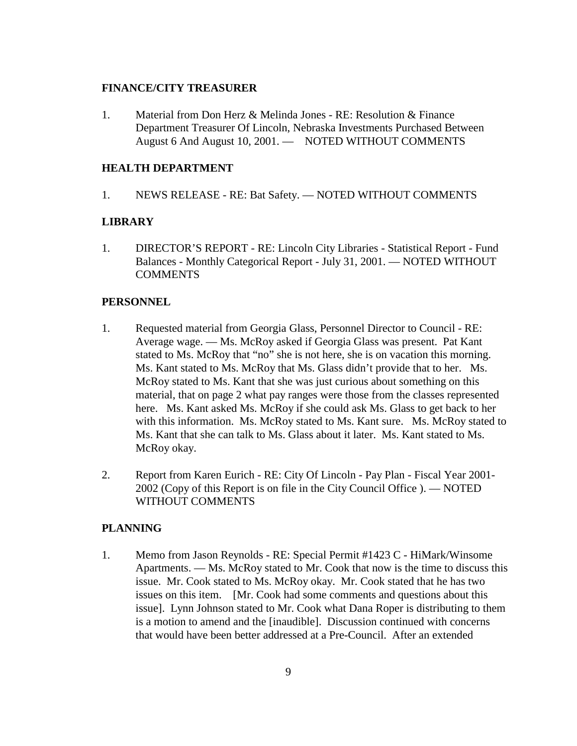#### **FINANCE/CITY TREASURER**

1. Material from Don Herz & Melinda Jones - RE: Resolution & Finance Department Treasurer Of Lincoln, Nebraska Investments Purchased Between August 6 And August 10, 2001. — NOTED WITHOUT COMMENTS

#### **HEALTH DEPARTMENT**

1. NEWS RELEASE - RE: Bat Safety. — NOTED WITHOUT COMMENTS

#### **LIBRARY**

1. DIRECTOR'S REPORT - RE: Lincoln City Libraries - Statistical Report - Fund Balances - Monthly Categorical Report - July 31, 2001. — NOTED WITHOUT **COMMENTS** 

#### **PERSONNEL**

- 1. Requested material from Georgia Glass, Personnel Director to Council RE: Average wage. — Ms. McRoy asked if Georgia Glass was present. Pat Kant stated to Ms. McRoy that "no" she is not here, she is on vacation this morning. Ms. Kant stated to Ms. McRoy that Ms. Glass didn't provide that to her. Ms. McRoy stated to Ms. Kant that she was just curious about something on this material, that on page 2 what pay ranges were those from the classes represented here. Ms. Kant asked Ms. McRoy if she could ask Ms. Glass to get back to her with this information. Ms. McRoy stated to Ms. Kant sure. Ms. McRoy stated to Ms. Kant that she can talk to Ms. Glass about it later. Ms. Kant stated to Ms. McRoy okay.
- 2. Report from Karen Eurich RE: City Of Lincoln Pay Plan Fiscal Year 2001- 2002 (Copy of this Report is on file in the City Council Office ). — NOTED WITHOUT COMMENTS

#### **PLANNING**

1. Memo from Jason Reynolds - RE: Special Permit #1423 C - HiMark/Winsome Apartments. — Ms. McRoy stated to Mr. Cook that now is the time to discuss this issue. Mr. Cook stated to Ms. McRoy okay. Mr. Cook stated that he has two issues on this item. [Mr. Cook had some comments and questions about this issue]. Lynn Johnson stated to Mr. Cook what Dana Roper is distributing to them is a motion to amend and the [inaudible]. Discussion continued with concerns that would have been better addressed at a Pre-Council. After an extended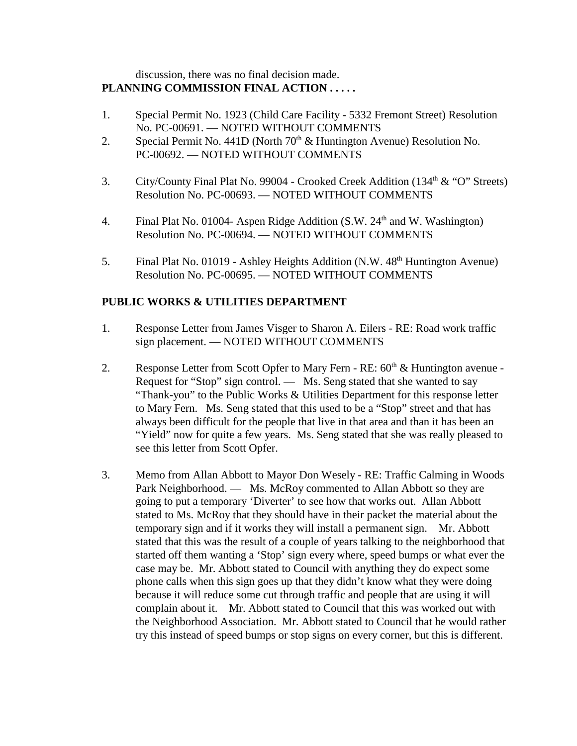## discussion, there was no final decision made. **PLANNING COMMISSION FINAL ACTION . . . . .**

- 1. Special Permit No. 1923 (Child Care Facility 5332 Fremont Street) Resolution No. PC-00691. — NOTED WITHOUT COMMENTS
- 2. Special Permit No. 441D (North  $70<sup>th</sup>$  & Huntington Avenue) Resolution No. PC-00692. — NOTED WITHOUT COMMENTS
- 3. City/County Final Plat No. 99004 Crooked Creek Addition (134<sup>th</sup> & "O" Streets) Resolution No. PC-00693. — NOTED WITHOUT COMMENTS
- 4. Final Plat No. 01004- Aspen Ridge Addition (S.W. 24<sup>th</sup> and W. Washington) Resolution No. PC-00694. — NOTED WITHOUT COMMENTS
- 5. Final Plat No. 01019 Ashley Heights Addition  $(N.W. 48<sup>th</sup>$  Huntington Avenue) Resolution No. PC-00695. — NOTED WITHOUT COMMENTS

## **PUBLIC WORKS & UTILITIES DEPARTMENT**

- 1. Response Letter from James Visger to Sharon A. Eilers RE: Road work traffic sign placement. — NOTED WITHOUT COMMENTS
- 2. Response Letter from Scott Opfer to Mary Fern RE:  $60<sup>th</sup>$  & Huntington avenue -Request for "Stop" sign control. — Ms. Seng stated that she wanted to say "Thank-you" to the Public Works & Utilities Department for this response letter to Mary Fern. Ms. Seng stated that this used to be a "Stop" street and that has always been difficult for the people that live in that area and than it has been an "Yield" now for quite a few years. Ms. Seng stated that she was really pleased to see this letter from Scott Opfer.
- 3. Memo from Allan Abbott to Mayor Don Wesely RE: Traffic Calming in Woods Park Neighborhood. — Ms. McRoy commented to Allan Abbott so they are going to put a temporary 'Diverter' to see how that works out. Allan Abbott stated to Ms. McRoy that they should have in their packet the material about the temporary sign and if it works they will install a permanent sign. Mr. Abbott stated that this was the result of a couple of years talking to the neighborhood that started off them wanting a 'Stop' sign every where, speed bumps or what ever the case may be. Mr. Abbott stated to Council with anything they do expect some phone calls when this sign goes up that they didn't know what they were doing because it will reduce some cut through traffic and people that are using it will complain about it. Mr. Abbott stated to Council that this was worked out with the Neighborhood Association. Mr. Abbott stated to Council that he would rather try this instead of speed bumps or stop signs on every corner, but this is different.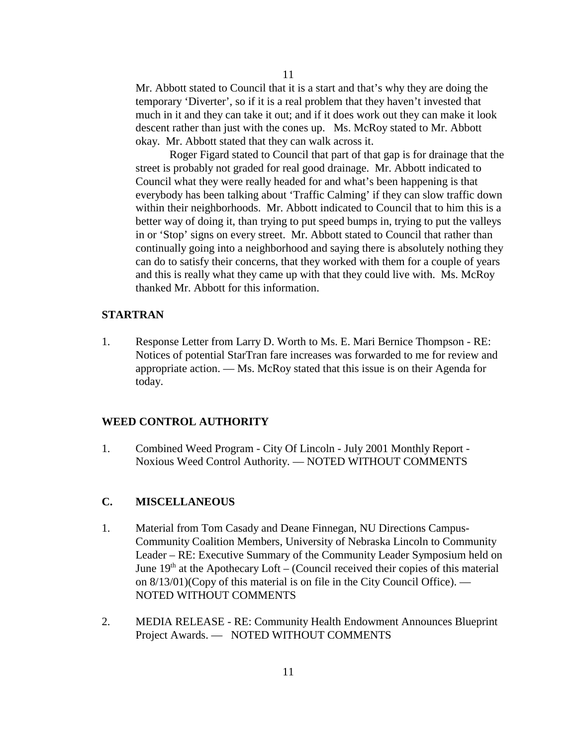Mr. Abbott stated to Council that it is a start and that's why they are doing the temporary 'Diverter', so if it is a real problem that they haven't invested that much in it and they can take it out; and if it does work out they can make it look descent rather than just with the cones up. Ms. McRoy stated to Mr. Abbott okay. Mr. Abbott stated that they can walk across it.

Roger Figard stated to Council that part of that gap is for drainage that the street is probably not graded for real good drainage. Mr. Abbott indicated to Council what they were really headed for and what's been happening is that everybody has been talking about 'Traffic Calming' if they can slow traffic down within their neighborhoods. Mr. Abbott indicated to Council that to him this is a better way of doing it, than trying to put speed bumps in, trying to put the valleys in or 'Stop' signs on every street. Mr. Abbott stated to Council that rather than continually going into a neighborhood and saying there is absolutely nothing they can do to satisfy their concerns, that they worked with them for a couple of years and this is really what they came up with that they could live with. Ms. McRoy thanked Mr. Abbott for this information.

#### **STARTRAN**

1. Response Letter from Larry D. Worth to Ms. E. Mari Bernice Thompson - RE: Notices of potential StarTran fare increases was forwarded to me for review and appropriate action. — Ms. McRoy stated that this issue is on their Agenda for today.

#### **WEED CONTROL AUTHORITY**

1. Combined Weed Program - City Of Lincoln - July 2001 Monthly Report - Noxious Weed Control Authority. — NOTED WITHOUT COMMENTS

#### **C. MISCELLANEOUS**

- 1. Material from Tom Casady and Deane Finnegan, NU Directions Campus-Community Coalition Members, University of Nebraska Lincoln to Community Leader – RE: Executive Summary of the Community Leader Symposium held on June  $19<sup>th</sup>$  at the Apothecary Loft – (Council received their copies of this material on 8/13/01)(Copy of this material is on file in the City Council Office). — NOTED WITHOUT COMMENTS
- 2. MEDIA RELEASE RE: Community Health Endowment Announces Blueprint Project Awards. — NOTED WITHOUT COMMENTS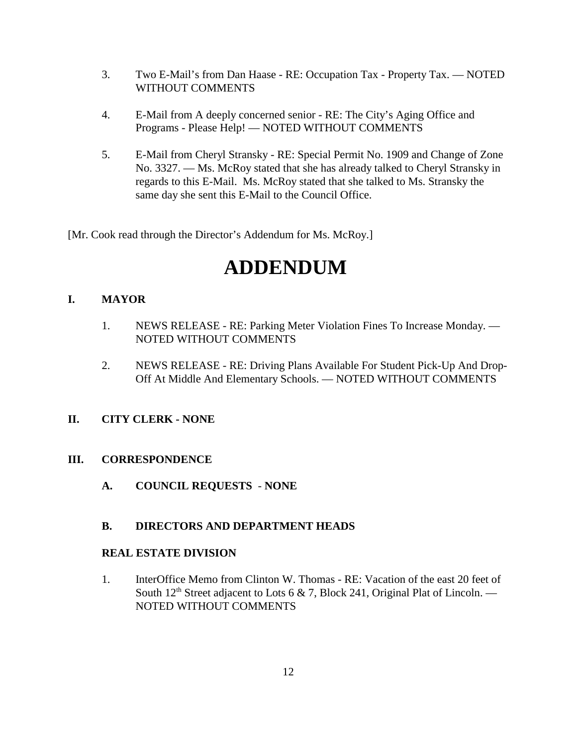- 3. Two E-Mail's from Dan Haase RE: Occupation Tax Property Tax. NOTED WITHOUT COMMENTS
- 4. E-Mail from A deeply concerned senior RE: The City's Aging Office and Programs - Please Help! — NOTED WITHOUT COMMENTS
- 5. E-Mail from Cheryl Stransky RE: Special Permit No. 1909 and Change of Zone No. 3327. — Ms. McRoy stated that she has already talked to Cheryl Stransky in regards to this E-Mail. Ms. McRoy stated that she talked to Ms. Stransky the same day she sent this E-Mail to the Council Office.

[Mr. Cook read through the Director's Addendum for Ms. McRoy.]

# **ADDENDUM**

## **I. MAYOR**

- 1. NEWS RELEASE RE: Parking Meter Violation Fines To Increase Monday. NOTED WITHOUT COMMENTS
- 2. NEWS RELEASE RE: Driving Plans Available For Student Pick-Up And Drop-Off At Middle And Elementary Schools. — NOTED WITHOUT COMMENTS

## **II. CITY CLERK - NONE**

## **III. CORRESPONDENCE**

**A. COUNCIL REQUESTS** - **NONE**

## **B. DIRECTORS AND DEPARTMENT HEADS**

#### **REAL ESTATE DIVISION**

1. InterOffice Memo from Clinton W. Thomas - RE: Vacation of the east 20 feet of South  $12<sup>th</sup>$  Street adjacent to Lots 6 & 7, Block 241, Original Plat of Lincoln. — NOTED WITHOUT COMMENTS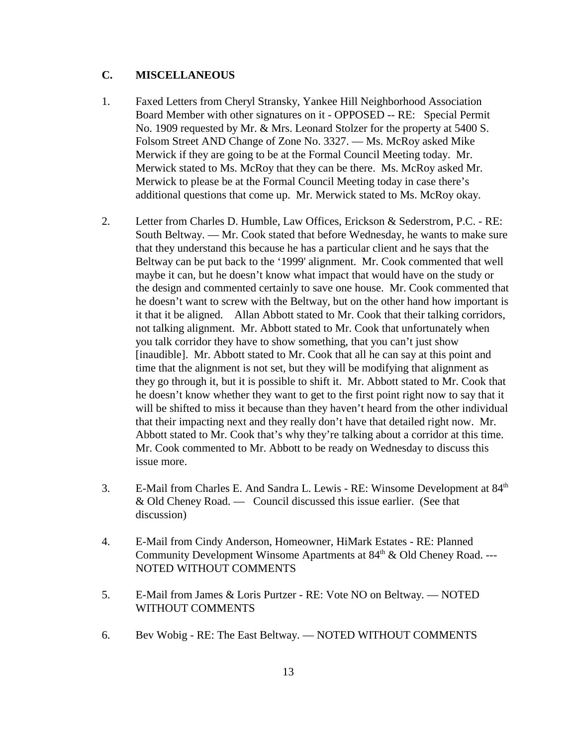#### **C. MISCELLANEOUS**

- 1. Faxed Letters from Cheryl Stransky, Yankee Hill Neighborhood Association Board Member with other signatures on it - OPPOSED -- RE: Special Permit No. 1909 requested by Mr. & Mrs. Leonard Stolzer for the property at 5400 S. Folsom Street AND Change of Zone No. 3327. — Ms. McRoy asked Mike Merwick if they are going to be at the Formal Council Meeting today. Mr. Merwick stated to Ms. McRoy that they can be there. Ms. McRoy asked Mr. Merwick to please be at the Formal Council Meeting today in case there's additional questions that come up. Mr. Merwick stated to Ms. McRoy okay.
- 2. Letter from Charles D. Humble, Law Offices, Erickson & Sederstrom, P.C. RE: South Beltway. — Mr. Cook stated that before Wednesday, he wants to make sure that they understand this because he has a particular client and he says that the Beltway can be put back to the '1999' alignment. Mr. Cook commented that well maybe it can, but he doesn't know what impact that would have on the study or the design and commented certainly to save one house. Mr. Cook commented that he doesn't want to screw with the Beltway, but on the other hand how important is it that it be aligned. Allan Abbott stated to Mr. Cook that their talking corridors, not talking alignment. Mr. Abbott stated to Mr. Cook that unfortunately when you talk corridor they have to show something, that you can't just show [inaudible]. Mr. Abbott stated to Mr. Cook that all he can say at this point and time that the alignment is not set, but they will be modifying that alignment as they go through it, but it is possible to shift it. Mr. Abbott stated to Mr. Cook that he doesn't know whether they want to get to the first point right now to say that it will be shifted to miss it because than they haven't heard from the other individual that their impacting next and they really don't have that detailed right now. Mr. Abbott stated to Mr. Cook that's why they're talking about a corridor at this time. Mr. Cook commented to Mr. Abbott to be ready on Wednesday to discuss this issue more.
- 3. E-Mail from Charles E. And Sandra L. Lewis RE: Winsome Development at 84th & Old Cheney Road. — Council discussed this issue earlier. (See that discussion)
- 4. E-Mail from Cindy Anderson, Homeowner, HiMark Estates RE: Planned Community Development Winsome Apartments at 84<sup>th</sup> & Old Cheney Road. ---NOTED WITHOUT COMMENTS
- 5. E-Mail from James & Loris Purtzer RE: Vote NO on Beltway. NOTED WITHOUT COMMENTS
- 6. Bev Wobig RE: The East Beltway. NOTED WITHOUT COMMENTS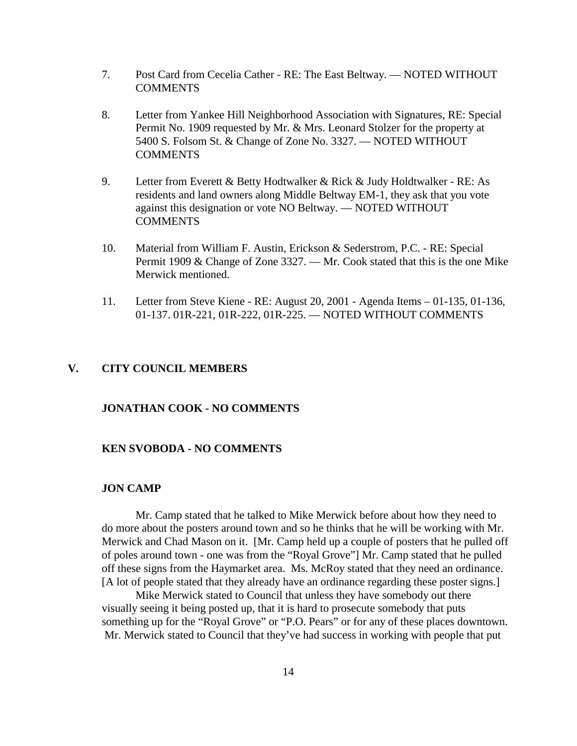- 7. Post Card from Cecelia Cather RE: The East Beltway. NOTED WITHOUT **COMMENTS**
- 8. Letter from Yankee Hill Neighborhood Association with Signatures, RE: Special Permit No. 1909 requested by Mr. & Mrs. Leonard Stolzer for the property at 5400 S. Folsom St. & Change of Zone No. 3327. — NOTED WITHOUT **COMMENTS**
- 9. Letter from Everett & Betty Hodtwalker & Rick & Judy Holdtwalker RE: As residents and land owners along Middle Beltway EM-1, they ask that you vote against this designation or vote NO Beltway. — NOTED WITHOUT COMMENTS
- 10. Material from William F. Austin, Erickson & Sederstrom, P.C. RE: Special Permit 1909 & Change of Zone 3327. — Mr. Cook stated that this is the one Mike Merwick mentioned.
- 11. Letter from Steve Kiene RE: August 20, 2001 Agenda Items 01-135, 01-136, 01-137. 01R-221, 01R-222, 01R-225. — NOTED WITHOUT COMMENTS

#### **V. CITY COUNCIL MEMBERS**

#### **JONATHAN COOK - NO COMMENTS**

#### **KEN SVOBODA - NO COMMENTS**

#### **JON CAMP**

Mr. Camp stated that he talked to Mike Merwick before about how they need to do more about the posters around town and so he thinks that he will be working with Mr. Merwick and Chad Mason on it. [Mr. Camp held up a couple of posters that he pulled off of poles around town - one was from the "Royal Grove"] Mr. Camp stated that he pulled off these signs from the Haymarket area. Ms. McRoy stated that they need an ordinance. [A lot of people stated that they already have an ordinance regarding these poster signs.]

 Mike Merwick stated to Council that unless they have somebody out there visually seeing it being posted up, that it is hard to prosecute somebody that puts something up for the "Royal Grove" or "P.O. Pears" or for any of these places downtown. Mr. Merwick stated to Council that they've had success in working with people that put